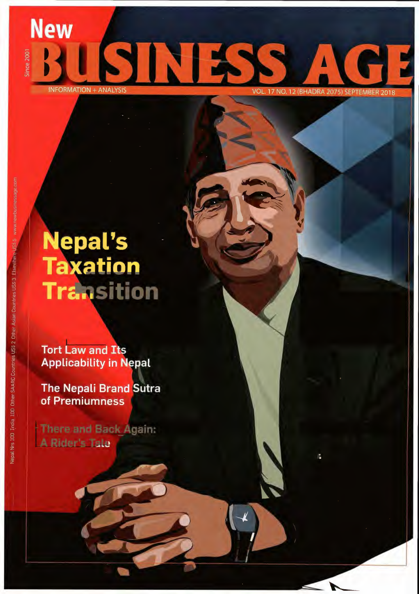### **New** SINE ince 2001 **INFORMATION + ANALY** VOL. 17 NO. 12 (BHADRA 2075) SEPTEMBER 2018

# **Nepal's<br>Taxation Transition**

**Tort Law and Its Applicability in Nepal** 

**The Nepali Brand Sutra** of Premiumness

There and Back Again: A Rider's Tale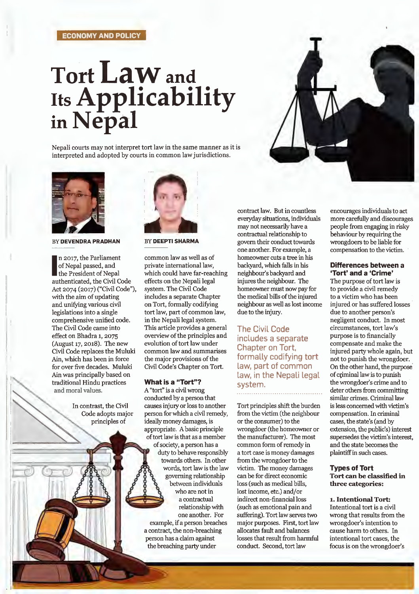### ECONOMY AND POLICY

# Tort LaW and Its Applicability in Nepal

Nepali courts may not interpret tort law in the same manner as it is interpreted and adopted by courts in common law jurisdictions.



BY DEVENDRA PRADHAN

In 2017, the Parliament<br>
of Nepal passed, and<br>
the President of Nepal<br>
authenticated, the Civil Code n 2017, the Parliament of Nepal passed, and the President of Nepal Act 2074 (2017) ("Civil Code"), with the aim of updating and unifying various civil legislations into a single comprehensive unified code. The Civil Code came into effect on Bhadra 1, 2075 (August 17, 2018). The new Civil Code replaces the Muluki Ain, which has been in force for over five decades. Muluki Ain was principally based on traditional Hindu practices and moral values.

> In contrast, the Civil Code adopts major principles of



BY DEEPTI SHARMA

common law as well as of private international law, which could have far-reaching effects on the Nepali legal system. The Civil Code includes a separate Chapter on Tort, formally codifying tort law, part of common law, in the Nepali legal system. This article provides a general overview of the principles and evolution of tort law under common law and summarises the major provisions of the Civil Code's Chapter on Tort.

### What is a "Tort"?

A "tort" is a civil wrong conducted by a person that causes injury or loss to another person for which a civil remedy, ideally money damages, is appropriate. A basic principle of tort law is that as a member of society, a person has a duty to behave responsibly towards others. In other words, tort law is the law governing relationship between individuals who are not in a contractual relationship with one another. For example, if a person breaches a contract, the non-breaching person has a claim against the breaching party under

contract law. But in countless everyday situations, individuals may not necessarily have a contractual relationship to govern their conduct towards one another. For example, a homeowner cuts a tree in his backyard, which falls in his neighbour's backyard and injures the neighbour. The homeowner must now pay for the medical bills of the injured neighbour as well as lost income due to the injury.

The Civil Code includes a separate Chapter on Tort, formally codifying tort Law, part of common law, in the Nepali legal system.

Tort principles shift the burden from the victim (the neighbour or the consumer) to the wrongdoer (the homeowner or the manufacturer). The most common form of remedy in a tort case is money damages from the wrongdoer to the victim. The money damages can be for direct economic loss (such as medical bills, lost income, etc.) and/or indirect non-financial loss (such as emotional pain and suffering). Tort law serves two major purposes. First, tort law allocates fault and balances losses that result from harmful conduct. Second, tort law

encourages individuals to act more carefully and discourages people from engaging in risky behaviour by requiring the wrongdoers to be liable for compensation to the victim.

### Differences between a 'Tort' and a 'Crime'

The purpose of tort law is to provide a civil remedy to a victim who has been injured or has suffered losses due to another person's negligent conduct. In most circumstances, tort law's purpose is to financially compensate and make the injured party whole again, but not to punish the wrongdoer. On the other hand, the purpose· of criminal law is to punish the wrongdoer's crime and to deter others from committing similar crimes. Criminal law is less concerned with victim's compensation. In criminal cases, the state's (and by extension, the public's) interest supersedes the victim's interest, and the state becomes the plaintiff in such cases.

### Types of Tort Tort can be classified in three categories:

### 1. Intentional Tort:

Intentional tort is a civil wrong that results from the wrongdoer's intention to cause harm to others. In intentional tort cases, the focus is on the wrongdoer's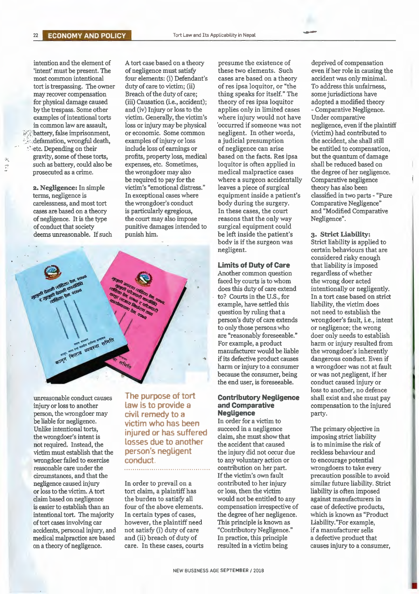intention and the element of A tort case based on a theory presume the existence of deprived of compensation <br>
"intent" must be present. The of negligence must satisfy these two elements. Such even if her role in causing tort is trespassing. The owner  $i$  battery, false imprisonment. Idefamation, wrongful death, examples of injury or loss a judicial presumption the accident, she shall still the include loss of earnings or of negligence can arise be entitled to compensation,  $\frac{1}{2}$  such as battery, could also be expenses, etc. Sometimes, loquitor is often applied in prosecuted as a crime.

most common intentional four elements: (i) Defendant's cases are based on a theory accident was only minimal.<br>
tort is trespassing. The owner duty of care to victim; (ii) of res ipsa loquitor, or "the To address this unfai may recover compensation Breach of the duty of care; thing speaks for itself." The some jurisdictions have for physical damage caused (iii) Causation (i.e., accident); theory of res ipsa loquitor adopted a modified theory for physical damage caused (iii) Causation (i.e., accident); theory of res ipsa loquitor adopted a modified theory<br>by the trespass. Some other and (iv) Injury or loss to the applies only in limited cases - Comparative Negl examples of intentional torts victim. Generally, the victim's where injury would not have Under comparative<br>in common law are assault, loss or injury may be physical 'occurred if someone was not negligence, even if t 1.4. gravity, some of these torts, profits, property loss, medical based on the facts. Res ipsa but the quantum of damage<br>such as battery, could also be expenses, etc. Sometimes, loquitor is often applied in shall be reduc the wrongdoer may also medical malpractice cases the degree of her negligence.<br>be required to pay for the where a surgeon accidentally Comparative negligence **2. Negligence:** In simple victim's "emotional distress." leaves a piece of surgical theory has also been terms, negligence is In exceptional cases where equipment inside a patient's classified in two part terms, negligence is In exceptional cases where equipment inside a patient's classified in two parts - "Pure carelessness, and most tort the wrongdoer's conduct body during the surgery. Comparative Negligence" cases are based on a theory is particularly egregious, In these cases, the court and "Modified Comparative of negligence. It is the type the court may also impose reasons that the only way Negligence".<br>
of conduct that society punitive damages intended to surgical equipment could punitive damages intended to deems unreasonable. If such punish him. be left inside the patient's **3. Strict Liability:** 



not required. Instead, the **LOSSES due to another** victim must establish that the **DETSON's negligent** wrongdoer failed to exercise **conduct**. **to any voluntary action or** to encourage potential reasonable care under the **contribution** contribution on her part. Wrongdoers to take eve circumstances, and that the If the victim's own fault precaution possible to avoid negligence caused injury In order to prevail on a contributed to her injury similar future liability. Strict or loss to the victim. A tort tort claim, a plaintiff has or loss, then the victim liability is often imposed claim based on negligence the burden to satisfy all would not be entitled to any against manufacturers in is easier to establish than an four of the above elements. compensation irrespective of case of defective products, intentional tort. The majority In certain types of cases, the degree of her negligence. which is known as "Product oftort cases involving car however, the plaintiff need This principle is known as Liability."For example, accidents, personal injury, and not satisfy (i) duty of care "Contributory Negligence." if a manufacturer sells medical malpractice are based and (ii) breach of duty of In practice, this principle a defective product that

**The purpose of tort**  unreasonable conduct causes **The purpose of tort Contributory Negligence** shall exist and she must pay injury or loss to another **Law is to provide a** and **Comparative** compensation to the injured person, the wrongdoer may **civil remedy to a Negligence party.**<br> **be liable for negligence. party party party party party party party party party party party party party party party part** be liable for negligence.<br> **victim who has been** ln order for a victim to<br>
Unlike intentional torts, injured or has surfaced in a negligence Unlike intentional torts, **injured or has suffered** succeed in a negligence The primary objective in the wrongdoer's intent is the wrongdoer's intent is victim must establish that the **person's negligent** the injury did not occur due reckless behaviour and

applies only in limited cases where a surgeon accidentally body is if the surgeon was Strict liability is applied to

Another common question regardless of whether faced by courts is to whom the wrong doer acted does this duty of care extend intentionally or negligently. example, have settled this liability, the victim does<br>question by ruling that a line of need to establish the to only those persons who or negligence; the wrong<br>are "reasonably foreseeable." doer only needs to establ because the consumer, being or was not negligent, if her the end user, is foreseeable. conduct caused injury or

### injury or loss to another **law is to provide a and Comparative** compensation to the injured person, the wrongdoer may civil remedy to a **Negligence** party.

the wrong strict liability<br>the accident that caused is to minimise the risk of reasonable care under the ......................................... contribution on her part. wrongdoers to take every on a theory of negligence. care. In these cases, courts resulted in a victim being causes injury to a consumer,

of negligence must satisfy these two elements. Such even if her role in causing the four elements: (i) Defendant's cases are based on a theory accident was only minimal. loss or injury may be physical ' occurred if someone was not negligence, even if the plaintiff or economic. Some common negligent. In other words, (victim) had contributed to

> negligent. **certain behaviours that are** considered risky enough not need to establish the doer only needs to establish harm or injury to a consumer a wrongdoer was not at fault loss to another, no defence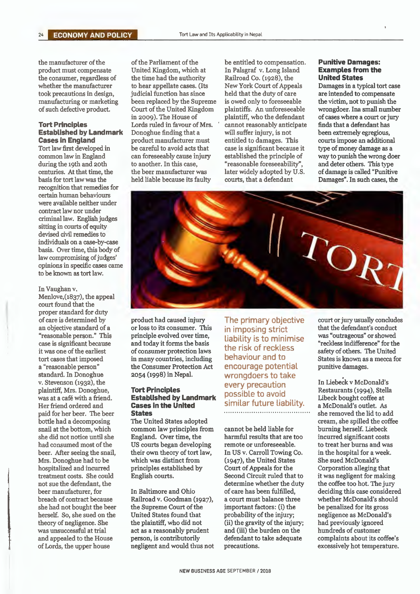## **Tort Principles** Lords ruled in favour of Mrs. ' cannot reasonably anticipate finds that a defendant has **Established by Landmark** Donoghue finding that a will suffer injury, is not been extremely egregious.

Tort law first developed in be careful to avoid acts that case is significant because it common law in England can foreseeably cause injury established the principle of during the 19th and 20th to another. In this case, "reasonable foreseeability", and deter others. This type centuries. At that time, the the beer manufacturer was later widely adopted by U.S. of damage is called "Punitiv centuries. At that time, the the beer manufacturer was later widely adopted by U.S. of damage is called "Punitive<br>basis for tort law was the held liable because its faulty courts, that a defendant Damages". In such cases, recognition that remedies for certain human behaviours were available neither under contract law nor under criminal law. English judges sitting in courts of equity devised civil remedies to individuals on a case-by-case basis. Over time, this body of law compromising of judges' opinions in specific cases came to be known as tort law.

#### In Vaughan v.

Menlove,(1837), the appeal court found that the proper standard for duty<br>of care is determined by standard. In Donoghue 2054 (1998) in Nepal. wrongdoers to take<br>v. Stevenson (1932), the end of the severy precention herself. So, she sued on the

United Kingdom, which at In Palsgraf v. Long Island **Examples from**<br>the time had the authority Railroad Co. (1928), the **United States** the consumer, regardless of the time had the authority Railroad Co. (1928), the **United States** whether the manufacturer to hear appellate cases. (Its New York Court of Appeals Damages in a typical tort case whether the manufacturer to hear appellate cases. (Its New York Court of Appeals took precautions in design, judicial function has since held that the duty of care indicial function has since held that the duty of care are intended to compensate<br>been replaced by the Supreme is owed only to foreseeable the victim, not to punish the manufacturing or marketing been replaced by the Supreme is owed only to foreseeable of such defective product. Court of the United Kingdom plaintiffs. An unforeseeable Court of the United Kingdom plaintiffs. An unfore seeable wrongdoer. In a small number<br>in 2009). The House of plaintiff, who the defendant of cases where a court or jury **Established by Landmark** Donoghue finding that a will suffer injury, is not **Cases in England** product manufacturer must entitled to damages. This **Cases in England** product manufacturer must entitled to damages. This courts impose an additional Tort law first developed in be careful to avoid acts that case is significant because it type of money damage as a can fore seeably cause injury established the principle of way to punish the wrong doer<br>to another. In this case, "reasonable fore seeability", and deter others. This type

the manufacturer of the of the Parliament of the be entitled to compensation. **Punitive Damages:**<br>
product must compensate United Kingdom, which at In Palsgraf v. Long Island **Examples from the** plaintiff, who the defendant of cases where a court or jury<br>cannot reasonably anticipate finds that a defendant has

Damages". In such cases, the



an objective standard of a or loss to its consumer. This in imposing strict that the defendant's conduct<br>"reasonable person." This principle evolved over time, is the minimical was "outrageous" or showed case is significant because and today it forms the basis the risk of reckless  $\frac{1}{2}$  reckless indifference for the exists of consumer protection laws the risk of reckless  $\frac{1}{2}$  safety of others. The United tor cases it was one of the earliest of consumer protection laws<br>tort cases that imposed in many countries, including a "reasonable person" the Consumer Protection Act encourage potential<br>standard. In Donoghue 2054 (1998) in Nepal. Wronoghoers to take

### plantiful, Mrs. Dollogifule, **Established by Landmark** possible to avoid a restaurants (1994), stell<br>
Was at a café with a friend. **Established by Landmark** possible to avoid libeck bought coffee at<br>
Her friend ordered and Her friend ordered and **Cases in the United Similar future Liability.**<br>
maid for her beer. The beer **States** paid for her beer. The beer **States** .......... ............. ....... .. .... .. .. . she removed the lid to add

bottle had a decomposing The United States adopted<br>
snail at the bottom, which common law principles from cannot be held liable for burning herself. Liebeck snail at the bottom, which common law principles from cannot be held liable for burning herself. Liebeck she did not notice until she England. Over time, the harmful results that are too incurred significant costs she did not notice until she England. Over time, the harmful results that are too incurred significant costs had consumed most of the US courts began developing remote or unforeseeable. to treat her burns and was had consumed most of the US courts began developing remote or unforeseeable. to treat her burns and was been. After seeing the snail, their own theory of tort law, In US v. Carroll Towing Co. in the hospital for a week. beer. After seeing the snail, their own theory of tort law, In US v. Carroll Towing Co. in the hospital for a w<br>Mrs. Donoghue had to be which was distinct from (1947), the United States She sued McDonald's Mrs. Donoghue had to be which was distinct from (1947), the United States hospitalized and incurred principles established by Court of Appeals for the

breach of contract because Railroad v. Goodman (1927), a court must balance three whether McDonald's should should should should should should important factors: (i) the begeneralized for its gross she had not bought the beer the Supreme Court of the important factors: (i) the be penalized for its gross<br>herself. So, she sued on the United States found that probability of the injury; negligence as McDonald's theory of negligence. She the plaintiff, who did not (ii) the gravity of the injury; had previously ignored was unsuccessful at trial act as a reasonably prudent and (iii) the burden on the hundreds of customer and appealed to the House person, is contributorily defendant to take adequate complaints about its coffee's of Lords, the upper house negligent and would thus not precautions. excessively hot temperature.

v. Stevenson (1932), the **In Liebeck v McDonald's** every precaution and In Liebeck v McDonald's plaintiff, Mrs. Donoghue, **Tort Principles Property** precaution Restaurants (1994), Stella **Restaurants (1994)**, Stella **Res** 

treatment costs. She could English courts. Second Circuit ruled that to it was negligent for making<br>not sue the defendant, the second Circuit ruled that to the coffee too hot. The jury

of care is determined by product had caused injury The primary objective court or jury usually concludes<br>an objective standard of a or loss to its consumer. This in imposing strict that the defendant's conduct "reasonable person." This principle evolved over time, unability is to minimise was "outrageous" or showed case is significant because and today it forms the basis tort cases that imposed in many countries, including behaviour and to States is known as a mecca for a "reasonable person" the Consumer Protection Act encourage potential punitive damages.

Corporation alleging that the coffee too hot. The jury beer manufacturer, for In Baltimore and Ohio of care has been fulfilled, deciding this case considered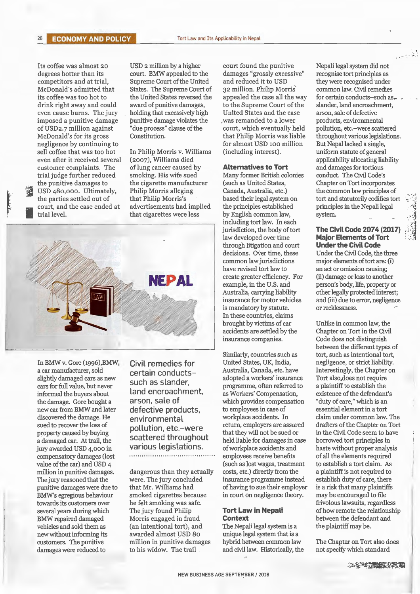Its coffee was almost 20 degrees hotter than its competitors and at trial, McDonald's admitted that its coffee was too hot to drink right away and could even cause burns. The jury imposed a punitive damage of USD2. 7 million against McDonald's for its gross negligence by continuing to sell coffee that was too hot even after it received several customer complaints. The trial judge further reduced the punitive damages to ~ USD 48o,ooo. Ultimately, the parties settled out of court, and the case ended at trial level.

USD 2 million by a higher court. BMW appealed to the Supreme Court of the United States. The Supreme Court of the United States reversed the award of punitive damages, holding that excessively high punitive damage violates the "due process" clause of the Constitution.

In Philip Morris v. Williams (2007), Williams died of lung cancer caused by smoking. His wife sued the cigarette manufacturer Philip Morris alleging that Philip Morris's advertisements had implied that cigarettes were less



In BMW v. Gore (1996),BMW, a car manufacturer, sold slightly damaged cars as new cars for full value, but never informed the buyers about the damage. Gore bought a new car from BMW and later discovered the damage. He sued to recover the loss of property caused by buying a damaged car. At trail, the jury awarded USD 4,000 in compensatory damages (lost value of the car) and USD 4 million in punitive damages. The jury reasoned that the punitive damages were due to BMW's egregious behaviour towards its customers over several years during which BMW repaired damaged vehicles and sold them as new without informing its customers. The punitive damages were reduced to

Civil remedies for certain conductssuch as slander, Land encroachment, arson, sale of defective products, environmental pollution, etc.-were scattered throughout various legislations. 

dangerous than they actually were. The jury concluded that Mr. Williams had smoked cigarettes because he felt smoking was safe. The jury found Philip Morris engaged in fraud (an intentional tort), and awarded almost USD 80 million in punitive damages to his widow. The trail

court found the punitive damages "grossly excessive" and reduced it to USD 32 million. Philip Morris' appealed the case all the way to the Supreme Court of the United States and the case , was remanded to a lower court, which eventually held that Philip Morris was liable for almost USD 100 million (including interest).

#### **Alternatives to Tort**

Many former British colonies (such as United States, Canada, Australia, etc.) based their legal system on the principles established by English common law, including tort law. In each jurisdiction, the body of tort law developed over time through litigation and court decisions. Over time, these common law jurisdictions have revised tort law to create greater efficiency. For example, in the U.S. and Australia, carrying liability insurance for motor vehicles is mandatory by statute. In these countries, claims brought by victims of car accidents are settled by the insurance companies.

Similarly, countries such as United States, UK, India, Australia, Canada, etc. have adopted a workers' insurance programme, often referred to as Workers' Compensation, which provides compensation to employees in case of workplace accidents. In return, employers are assured that they will not be sued or held liable for damages in case of workplace accidents and employees receive benefits (such as lost wages, treatment costs, etc.) directly from the insurance programme instead of having to sue their employer in court on negligence theory.

### **Tort Law in Nepali Context**

The Nepali legal system is a unique legal system that is a hybrid between common law and civil law. Historically, the Nepali legal system did not recognise tort principles as they were recognised under common law. Civil remedies for certain conducts-such as. slander, land encroachment, arson, sale of defective products, environmental pollution, etc.-were scattered throughout various legislations. But Nepal lacked a single, uniform statute of general applicability allocating liability and damages for tortious conduct. The Civil Code's Chapter on Tort incorporates the common law principles of tort and statutorily codifies tort principles in the Nepali legal system.

 $\mathcal{L} \times \mathcal{L} \times \mathcal{L} \times \mathcal{L}$ 

### **The Civil Code 2074 (2017) Major Elements of Tort Under the Civil Code**

Under the Civil Code, the three major elements of tort are: (i) an act or omission causing; (ii) damage or loss to another person's body, life, property or other legally protected interest; and (iii) due to error, negligence or recklessness.

Unlike in common law, the Chapter on Tort in the Civil Code does not distinguish between the different types of tort, such as intentional tort, negligence, or strict liability. Interestingly, the Chapter on Tort also.does not require a plaintiff to establish the existence of the defendant's "duty of care," which is an essential element in a tort claim under common law. The drafters of the Chapter on Tort in the Civil Code seem to have borrowed tort principles in haste without proper analysis of all the elements required to establish a tort claim. As a plaintiff is not required to establish duty of care, there is a risk that many plaintiffs may be encouraged to file frivolous lawsuits, regardless of how remote the relationship between the defendant and the plaintiff may be.

The Chapter on Tort also does not specify which standard